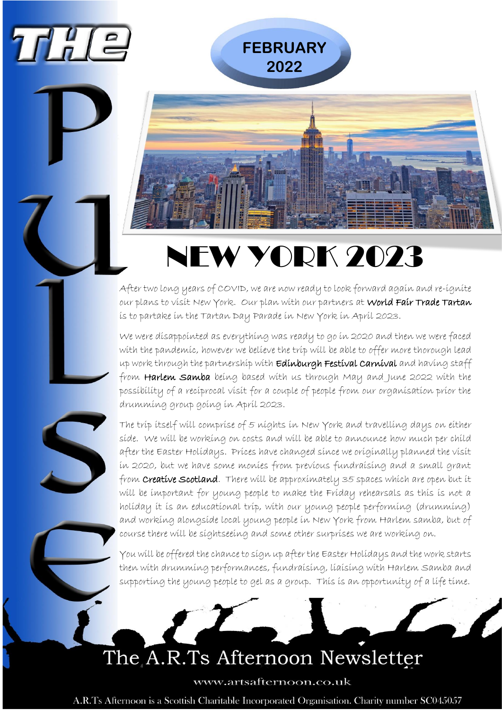

# NEW YORK 2023

After two long years of COVID, we are now ready to look forward again and re-ignite our plans to visit New York. Our plan with our partners at World Fair Trade Tartan is to partake in the Tartan Day Parade in New York in April 2023.

We were disappointed as everything was ready to go in 2020 and then we were faced with the pandemic, however we believe the trip will be able to offer more thorough lead up work through the partnership with Edinburgh Festival Carnival and having staff from Harlem Samba being based with us through May and June 2022 with the possibility of a reciprocal visit for a couple of people from our organisation prior the drumming group going in April 2023.

The trip itself will comprise of 5 nights in New York and travelling days on either side. We will be working on costs and will be able to announce how much per child after the Easter Holidays. Prices have changed since we originally planned the visit in 2020, but we have some monies from previous fundraising and a small grant from **Creative Scotland**. There will be approximately 35 spaces which are open but it will be important for young people to make the Friday rehearsals as this is not a holiday it is an educational trip, with our young people performing (drumming) and working alongside local young people in New York from Harlem samba, but of course there will be sightseeing and some other surprises we are working on.

You will be offered the chance to sign up after the Easter Holidays and the work starts then with drumming performances, fundraising, liaising with Harlem Samba and supporting the young people to gel as a group. This is an opportunity of a life time.

## The A.R.Ts Afternoon Newsletter

www.artsafternoon.co.uk

A.R.Ts Afternoon is a Scottish Charitable Incorporated Organisation. Charity number SC045057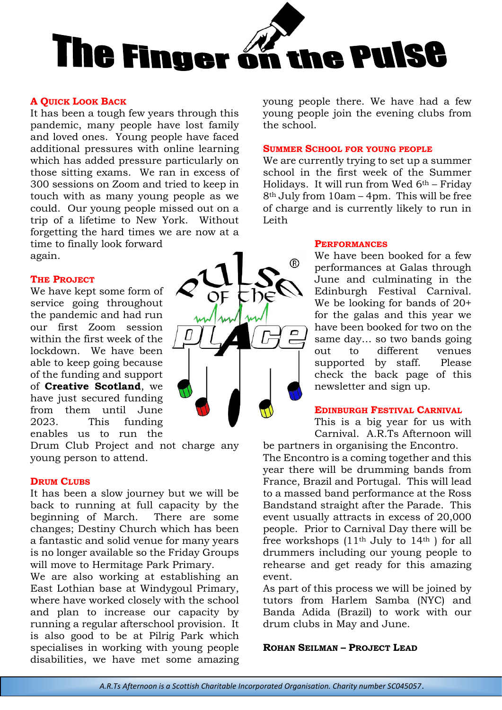

#### **A QUICK LOOK BACK**

It has been a tough few years through this pandemic, many people have lost family and loved ones. Young people have faced additional pressures with online learning which has added pressure particularly on those sitting exams. We ran in excess of 300 sessions on Zoom and tried to keep in touch with as many young people as we could. Our young people missed out on a trip of a lifetime to New York. Without forgetting the hard times we are now at a time to finally look forward again.

#### **THE PROJECT**

We have kept some form of service going throughout the pandemic and had run our first Zoom session within the first week of the lockdown. We have been able to keep going because of the funding and support of **Creative Scotland**, we have just secured funding from them until June 2023. This funding enables us to run the

Drum Club Project and not charge any young person to attend.

#### **DRUM CLUBS**

It has been a slow journey but we will be back to running at full capacity by the beginning of March. There are some changes; Destiny Church which has been a fantastic and solid venue for many years is no longer available so the Friday Groups will move to Hermitage Park Primary.

We are also working at establishing an East Lothian base at Windygoul Primary, where have worked closely with the school and plan to increase our capacity by running a regular afterschool provision. It is also good to be at Pilrig Park which specialises in working with young people disabilities, we have met some amazing



young people there. We have had a few young people join the evening clubs from the school.

#### **SUMMER SCHOOL FOR YOUNG PEOPLE**

We are currently trying to set up a summer school in the first week of the Summer Holidays. It will run from Wed  $6<sup>th</sup>$  – Friday 8th July from 10am – 4pm. This will be free of charge and is currently likely to run in Leith

#### **PERFORMANCES**

We have been booked for a few performances at Galas through June and culminating in the Edinburgh Festival Carnival. We be looking for bands of 20+ for the galas and this year we have been booked for two on the same day… so two bands going out to different venues supported by staff. Please check the back page of this newsletter and sign up.

#### **EDINBURGH FESTIVAL CARNIVAL**

This is a big year for us with Carnival. A.R.Ts Afternoon will

be partners in organising the Encontro. The Encontro is a coming together and this year there will be drumming bands from France, Brazil and Portugal. This will lead to a massed band performance at the Ross Bandstand straight after the Parade. This event usually attracts in excess of 20,000 people. Prior to Carnival Day there will be free workshops (11th July to 14th ) for all drummers including our young people to rehearse and get ready for this amazing event.

As part of this process we will be joined by tutors from Harlem Samba (NYC) and Banda Adida (Brazil) to work with our drum clubs in May and June.

#### **ROHAN SEILMAN – PROJECT LEAD**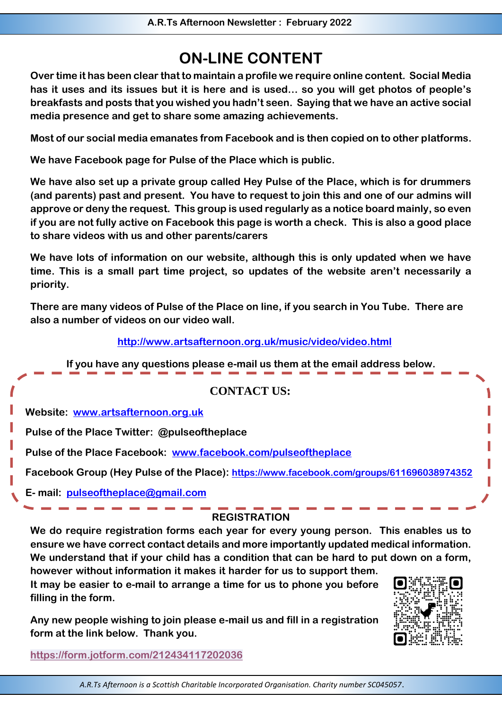### **ON-LINE CONTENT**

**Over time it has been clear that to maintain a profile we require online content. Social Media has it uses and its issues but it is here and is used… so you will get photos of people's breakfasts and posts that you wished you hadn't seen. Saying that we have an active social media presence and get to share some amazing achievements.**

**Most of our social media emanates from Facebook and is then copied on to other platforms.** 

**We have Facebook page for Pulse of the Place which is public.** 

**We have also set up a private group called Hey Pulse of the Place, which is for drummers (and parents) past and present. You have to request to join this and one of our admins will approve or deny the request. This group is used regularly as a notice board mainly, so even if you are not fully active on Facebook this page is worth a check. This is also a good place to share videos with us and other parents/carers**

**We have lots of information on our website, although this is only updated when we have time. This is a small part time project, so updates of the website aren't necessarily a priority.**

**There are many videos of Pulse of the Place on line, if you search in You Tube. There are also a number of videos on our video wall.**

 **<http://www.artsafternoon.org.uk/music/video/video.html>**

**If you have any questions please e-mail us them at the email address below.**

| <b>CONTACT US:</b> |
|--------------------|
|--------------------|

**Website: [www.artsafternoon.org.uk](http://www.artsafternoon.org.uk/)**

**Pulse of the Place Twitter: @pulseoftheplace**

**Pulse of the Place Facebook: [www.facebook.com/pulseoftheplace](http://www.facebook.com/pulseoftheplace)**

**Facebook Group (Hey Pulse of the Place): <https://www.facebook.com/groups/611696038974352>**

**E- mail: [pulseoftheplace@gmail.com](mailto:pulseoftheplace@gmail.com)**

#### **REGISTRATION**

**We do require registration forms each year for every young person. This enables us to ensure we have correct contact details and more importantly updated medical information. We understand that if your child has a condition that can be hard to put down on a form,** 

**however without information it makes it harder for us to support them. It may be easier to e-mail to arrange a time for us to phone you before filling in the form.**

**Any new people wishing to join please e-mail us and fill in a registration form at the link below. Thank you.**

**<https://form.jotform.com/212434117202036>**